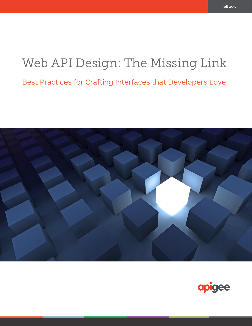Best Practices for Crafting Interfaces that Developers Love



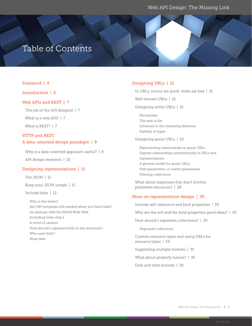## Table of Contents

#### Foreword | 4

#### Introduction | 6

#### Web APIs and REST | 7

The job of the API designer | 7 What is a web API? | 7 What is REST? | 7

### HTTP and REST: A data-oriented design paradigm | 9

Why is a data-oriented approach useful? | 9 API design elements | 10

#### Designing representations | 11

Use JSON | 11

Keep your JSON simple | 11

Include links | 12

Why is this better? Are URI templates still needed when you have links? An analogy with the World Wide Web Including links, step 2 A word of caution How should I represent links in my resources? Who uses links? More later

#### Designing URLs | 21

In URLs, nouns are good; verbs are bad | 21

Well-known URLs | 21

Designing entity URLs | 21

Permalinks The web is flat Solutions to the renaming dilemma Stability of types

Designing query URLs | 25

Representing relationships in query URLs Express relationships symmetrically in URLs and representations A general model for query URLs Path parameters, or matrix parameters Filtering collections

What about responses that don't involve persistent resources? | 28

#### More on representation design | 30

Include self-reference and kind properties | 30

Why are the self and the kind properties good ideas? | 30

How should I represent collections? | 30

Paginated collections

Custom resource types and using URLs for resource types | 34 Supporting multiple formats | 35

What about property names? | 35

Date and time formats | 36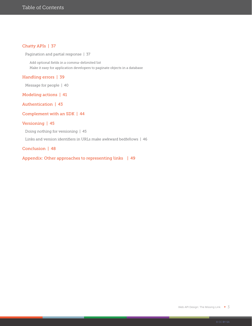#### Chatty APIs | 37

Pagination and partial response | 37

Add optional fields in a comma-delimited list Make it easy for application developers to paginate objects in a database

#### Handling errors | 39

Message for people | 40

Modeling actions | 41

Authentication | 43

#### Complement with an SDK | 44

#### Versioning | 45

Doing nothing for versioning | 45

Links and version identifiers in URLs make awkward bedfellows | 46

#### Conclusion | 48

Appendix: Other approaches to representing links | 49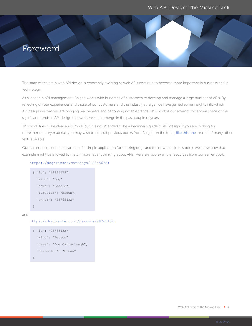## <span id="page-3-0"></span>Foreword

The state of the art in web API design is constantly evolving as web APIs continue to become more important in business and in technology.

As a leader in API management, Apigee works with hundreds of customers to develop and manage a large number of APIs. By reflecting on our experiences and those of our customers and the industry at large, we have gained some insights into which API design innovations are bringing real benefits and becoming notable trends. This book is our attempt to capture some of the significant trends in API design that we have seen emerge in the past couple of years.

This book tries to be clear and simple, but it is not intended to be a beginner's guide to API design. If you are looking for more introductory material, you may wish to consult previous books from Apigee on the topic, [like this one](https://pages.apigee.com/web-api-design-website-h-ebook-registration.html?int_source=resources-main&int_medium=website&int_campaign=ebook&int_content=api-design), or one of many other texts available.

Our earlier book used the example of a simple application for tracking dogs and their owners. In this book, we show how that example might be evolved to match more recent thinking about APIs. Here are two example resources from our earlier book:

#### https://dogtracker.com/dogs/12345678:

```
{ "id": "12345678", 
  "kind": "Dog"
  "name": "Lassie", 
  "furColor": "brown",
  "owner": "98765432"
}
```
https://dogtracker.com/persons/98765432:

```
{ "id": "98765432", 
  "kind": "Person"
  "name": "Joe Carraclough", 
  "hairColor": "brown"
}
```
and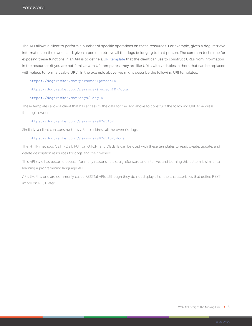The API allows a client to perform a number of specific operations on these resources. For example, given a dog, retrieve information on the owner, and, given a person, retrieve all the dogs belonging to that person. The common technique for exposing these functions in an API is to define a [URI template](https://tools.ietf.org/html/rfc6570) that the client can use to construct URLs from information in the resources (if you are not familiar with URI templates, they are like URLs with variables in them that can be replaced with values to form a usable URL). In the example above, we might describe the following URI templates:

https://dogtracker.com/persons/{personID}

#### https://dogtracker.com/persons/{personID}/dogs

#### https://dogtracker.com/dogs/{dogID}

These templates allow a client that has access to the data for the dog above to construct the following URL to address the dog's owner:

#### https://dogtracker.com/persons/98765432

Similarly, a client can construct this URL to address all the owner's dogs:

#### https://dogtracker.com/persons/98765432/dogs

The HTTP methods GET, POST, PUT or PATCH, and DELETE can be used with these templates to read, create, update, and delete description resources for dogs and their owners.

This API style has become popular for many reasons. It is straightforward and intuitive, and learning this pattern is similar to learning a programming language API.

APIs like this one are commonly called RESTful APIs, although they do not display all of the characteristics that define REST (more on REST later).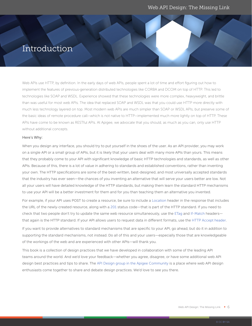## Introduction

Web APIs use HTTP, by definition. In the early days of web APIs, people spent a lot of time and effort figuring out how to implement the features of previous-generation distributed technologies like CORBA and DCOM on top of HTTP. This led to technologies like SOAP and WSDL. Experience showed that these technologies were more complex, heavyweight, and brittle than was useful for most web APIs. The idea that replaced SOAP and WSDL was that you could use HTTP more directly with much less technology layered on top. Most modern web APIs are much simpler than SOAP or WSDL APIs, but preserve some of the basic ideas of remote procedure call—which is not native to HTTP—implemented much more lightly on top of HTTP. These APIs have come to be known as RESTful APIs. At Apigee, we advocate that you should, as much as you can, only use HTTP without additional concepts.

#### Here's Why:

When you design any interface, you should try to put yourself in the shoes of the user. As an API provider, you may work on a single API or a small group of APIs, but it is likely that your users deal with many more APIs than yours. This means that they probably come to your API with significant knowledge of basic HTTP technologies and standards, as well as other APIs. Because of this, there is a lot of value in adhering to standards and established conventions, rather than inventing your own. The HTTP specifications are some of the best-written, best-designed, and most universally accepted standards that the industry has ever seen—the chances of you inventing an alternative that will serve your users better are low. Not all your users will have detailed knowledge of the HTTP standards, but making them learn the standard HTTP mechanisms to use your API will be a better investment for them and for you than teaching them an alternative you invented.

For example, if your API uses POST to create a resource, be sure to include a [Location](https://tools.ietf.org/html/rfc7231#section-7.1.2) header in the response that includes the URL of the newly-created resource, along with a [201](https://tools.ietf.org/html/rfc7231#section-6.3.2) status code—that is part of the HTTP standard. If you need to check that two people don't try to update the same web resource simultaneously, use the [ETag](https://tools.ietf.org/html/rfc7232#section-2.3) and [If-Match](https://tools.ietf.org/html/rfc7232#section-3.1) headers that again is the HTTP standard. If your API allows users to request data in different formats, use the [HTTP Accept header](https://tools.ietf.org/html/rfc7231#section-5.3.2).

If you want to provide alternatives to standard mechanisms that are specific to your API, go ahead, but do it in addition to supporting the standard mechanisms, not instead. Do all of this and your users—especially those that are knowledgeable of the workings of the web and are experienced with other APIs—will thank you.

This book is a collection of design practices that we have developed in collaboration with some of the leading API teams around the world. And we'd love your feedback—whether you agree, disagree, or have some additional web API design best practices and tips to share. The [API Design group in the Apigee Community](https://community.apigee.com/spaces/123/index.html) is a place where web API design enthusiasts come together to share and debate design practices. We'd love to see you there.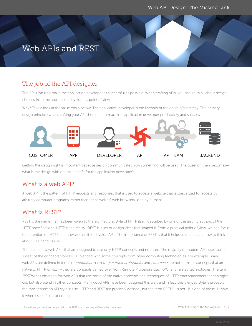## Web APIs and REST

## The job of the API designer

The API's job is to make the application developer as successful as possible. When crafting APIs, you should think about design choices from the application developer's point of view.

Why? Take a look at the value chain below. The application developer is the linchpin of the entire API strategy. The primary design principle when crafting your API should be to maximize application developer productivity and success.



Getting the design right is important because design communicates how something will be used. The question then becomes what is the design with optimal benefit for the application developer?

## What is a web API?

A web API is the pattern of HTTP requests and responses that is used to access a website that is specialized for access by arbitrary computer programs, rather than (or as well as) web browsers used by humans.

## What is REST?

REST is the name that has been given to the architectural style of HTTP itself, described by one of the leading authors of the HTTP specifications. HTTP is the reality—REST is a set of design ideas that shaped it. From a practical point of view, we can focus our attention on HTTP and how we use it to develop APIs. The importance of REST is that it helps us understand how to think about HTTP and its use.

There are a few web APIs that are designed to use only HTTP concepts and no more. The majority of modern APIs uses some subset of the concepts from HTTP, blended with some concepts from other computing technologies. For example, many web APIs are defined in terms of endpoints that have parameters. Endpoint and parameter are not terms or concepts that are native to HTTP or REST—they are concepts carried over from Remote Procedure Call (RPC) and related technologies. The term RESTful has emerged for web APIs that use more of the native concepts and techniques of HTTP than antecedent technologies did, but also blend in other concepts. Many good APIs have been designed this way, and in fact, this blended style is probably the most common API style in use. HTTP and REST are precisely defined<sup>1</sup>, but the term RESTful is not—it is one of those "I know it when I see it" sort of concepts.

 $<sup>1</sup>$  Sometimes you will hear people claim that REST is not precisely defined—this is not true.</sup>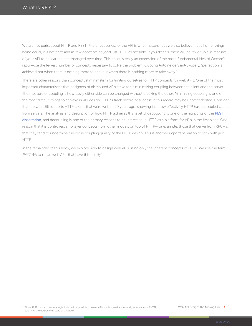We are not purist about HTTP and REST—the effectiveness of the API is what matters—but we also believe that all other things being equal, it is better to add as few concepts beyond just HTTP as possible. If you do this, there will be fewer unique features of your API to be learned and managed over time. This belief is really an expression of the more fundamental idea of Occam's razor—use the fewest number of concepts necessary to solve the problem. Quoting Antoine de Saint-Exupery, "perfection is achieved not when there is nothing more to add, but when there is nothing more to take away."

There are other reasons than conceptual minimalism for limiting ourselves to HTTP concepts for web APIs. One of the most important characteristics that designers of distributed APIs strive for is minimizing coupling between the client and the server. The measure of coupling is how easily either side can be changed without breaking the other. Minimizing coupling is one of the most difficult things to achieve in API design. HTTP's track record of success in this regard may be unprecedented. Consider that the web still supports HTTP clients that were written 20 years ago, showing just how effectively HTTP has decoupled clients from servers. The analysis and description of how HTTP achieves this level of decoupling is one of the highlights of the [REST](https://www.ics.uci.edu/~fielding/pubs/dissertation/rest_arch_style.htm)  [dissertation](https://www.ics.uci.edu/~fielding/pubs/dissertation/rest_arch_style.htm), and decoupling is one of the primary reasons to be interested in HTTP as a platform for APIs in the first place. One reason that it is controversial to layer concepts from other models on top of HTTP—for example, those that derive from RPC—is that they tend to undermine the loose coupling quality of the HTTP design. This is another important reason to stick with just HTTP.

In the remainder of this book, we explore how to design web APIs using only the inherent concepts of HTTP. We use the term REST AP/ to mean web APIs that have this quality<sup>2</sup>.

 $^2$  Since REST is an architectural style, it should be possible to invent APIs in this style that are totally independent of HTTP. Such APIs are outside the scope of this book.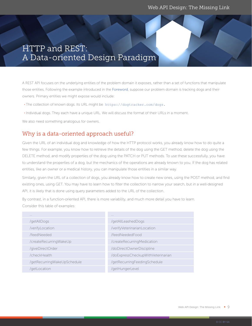## <span id="page-8-0"></span>HTTP and REST: A Data-oriented Design Paradigm

A REST API focuses on the underlying entities of the problem domain it exposes, rather than a set of functions that manipulate those entities. Following the example introduced in the [Foreword](#page-3-0), suppose our problem domain is tracking dogs and their owners. Primary entities we might expose would include:

• The collection of known dogs. Its URL might be https://dogtracker.com/dogs.

• Individual dogs. They each have a unique URL. We will discuss the format of their URLs in a moment.

We also need something analogous for owners.

## Why is a data-oriented approach useful?

Given the URL of an individual dog and knowledge of how the HTTP protocol works, you already know how to do quite a few things. For example, you know how to retrieve the details of the dog using the GET method, delete the dog using the DELETE method, and modify properties of the dog using the PATCH or PUT methods. To use these successfully, you have to understand the properties of a dog, but the mechanics of the operations are already known to you. If the dog has related entities, like an owner or a medical history, you can manipulate those entities in a similar way.

Similarly, given the URL of a collection of dogs, you already know how to create new ones, using the POST method, and find existing ones, using GET. You may have to learn how to filter the collection to narrow your search, but in a well-designed API, it is likely that is done using query parameters added to the URL of the collection.

By contrast, in a function-oriented API, there is more variability, and much more detail you have to learn. Consider this table of examples:

| $\cdots$                    | $\cdots$                          |
|-----------------------------|-----------------------------------|
| /getAllDogs                 | /getAllLeashedDogs                |
| /verifyLocation             | /verifyVeterinarianLocation       |
| /feedNeeded                 | /feedNeededFood                   |
| /createRecurringWakeUp      | /createRecurringMedication        |
| /giveDirectOrder            | /doDirectOwnerDiscipline          |
| /checkHealth                | /doExpressCheckupWithVeterinarian |
| /getRecurringWakeUpSchedule | /getRecurringFeedingSchedule      |
| /getLocation                | /getHungerLevel                   |
|                             |                                   |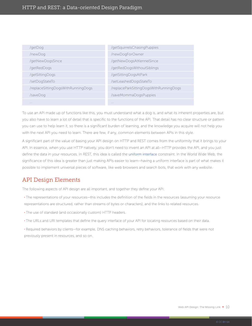| /getDog                            | /getSquirrelsChasingPuppies            |
|------------------------------------|----------------------------------------|
| /newDog                            | /newDogForOwner                        |
| /getNewDogsSince                   | /getNewDogsAtKennelSince               |
| /getRedDogs                        | /getRedDogsWithoutSiblings             |
| /getSittingDogs                    | /getSittingDogsAtPark                  |
| /setDogStateTo                     | /setLeashedDogsStateTo                 |
| /replaceSittingDogsWithRunningDogs | /replaceParkSittingDogsWithRunningDogs |
| /saveDog                           | /saveMommaDogsPuppies                  |
| 1.1.1                              | 1.1.1                                  |

To use an API made up of functions like this, you must understand what a dog is, and what its inherent properties are, but you also have to learn a lot of detail that is specific to the functions of the API. That detail has no clear structure or pattern you can use to help learn it, so there is a significant burden of learning, and the knowledge you acquire will not help you with the next API you need to learn. There are few, if any, common elements between APIs in this style.

A significant part of the value of basing your API design on HTTP and REST comes from the uniformity that it brings to your API. In essence, when you use HTTP natively, you don't need to invent an API at all-HTTP provides the API, and you just define the data in your resources. In REST, this idea is called the [uniform interface](https://www.ics.uci.edu/~fielding/pubs/dissertation/rest_arch_style.htm#sec_5_1_5) constraint. In the World Wide Web, the significance of this idea is greater than just making APIs easier to learn—having a uniform interface is part of what makes it possible to implement universal pieces of software, like web browsers and search bots, that work with any website.

## API Design Elements

The following aspects of API design are all important, and together they define your API:

- The representations of your resources—this includes the definition of the fields in the resources (assuming your resource representations are structured, rather than streams of bytes or characters), and the links to related resources.
- The use of standard (and occasionally custom) HTTP headers.
- The URLs and URI templates that define the query interface of your API for locating resources based on their data.
- Required behaviors by clients—for example, DNS caching behaviors, retry behaviors, tolerance of fields that were not previously present in resources, and so on.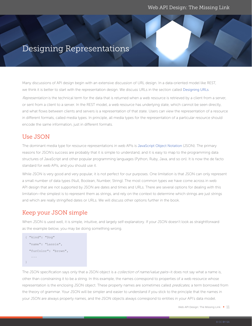## Designing Representations

Many discussions of API design begin with an extensive discussion of URL design. In a data-oriented model like REST, we think it is better to start with the representation design. We discuss URLs in the section called [Designing URLs](#page-20-0).

Representation is the technical term for the data that is returned when a web resource is retrieved by a client from a server, or sent from a client to a server. In the REST model, a web resource has underlying state, which cannot be seen directly, and what flows between clients and servers is a representation of that state. Users can view the representation of a resource in different formats, called media types. In principle, all media types for the representation of a particular resource should encode the same information, just in different formats.

## Use JSON

The dominant media type for resource representations in web APIs is [JavaScript Object Notation](http://www.json.org/) (JSON). The primary reasons for JSON's success are probably that it is simple to understand, and it is easy to map to the programming data structures of JavaScript and other popular programming languages (Python, Ruby, Java, and so on). It is now the de facto standard for web APIs, and you should use it.

While JSON is very good and very popular, it is not perfect for our purposes. One limitation is that JSON can only represent a small number of data types (Null, Boolean, Number, String). The most common types we have come across in web API design that are not supported by JSON are dates and times and URLs. There are several options for dealing with this limitation—the simplest is to represent them as strings, and rely on the context to determine which strings are just strings and which are really stringified dates or URLs. We will discuss other options further in the book.

## Keep your JSON simple

When JSON is used well, it is simple, intuitive, and largely self-explanatory. If your JSON doesn't look as straightforward as the example below, you may be doing something wrong.

```
{ "kind": "Dog"
   "name": "Lassie", 
   "furColor": "brown",
    ...
}
```
The JSON specification says only that a JSON object is a collection of name/value pairs-it does not say what a name is, other than constraining it to be a string. In this example, the names correspond to properties of a web resource whose representation is the enclosing JSON object. These property names are sometimes called predicates, a term borrowed from the theory of grammar. Your JSON will be simpler and easier to understand if you stick to the principle that the names in your JSON are always property names, and the JSON objects always correspond to entities in your API's data model.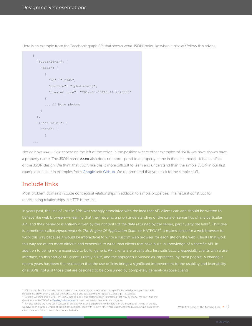<span id="page-11-0"></span>Here is an example from the Facebook graph API that shows what JSON looks like when it doesn't follow this advice:

```
{
   "{user-id-a}": {
      "data": [
       \left\{\begin{array}{c}1\end{array}\right. "id": "12345", 
           "picture": "{photo-url}", 
           "created_time": "2014-07-15T15:11:25+0000"
        }
         ... // More photos
      ]
   },
   "{user-id-b}": {
      "data": [
       \left\{ \right....
```
Notice how user-ids appear on the left of the colon in the position where other examples of JSON we have shown have a property name. The JSON name **data** also does not correspond to a property name in the data model—it is an artifact of the JSON design. We think that JSON like this is more difficult to learn and understand than the simple JSON in our first example and later in examples from [Google](#page-17-0) and [GitHub](#page-18-0). We recommend that you stick to the simple stuff.

## Include links

Most problem domains include conceptual relationships in addition to simple properties. The natural construct for representing relationships in HTTP is the link.

In years past, the use of links in APIs was strongly associated with the idea that API clients can and should be written to is sometimes called *Hypermedia As The Engine Of Application State*, or HATEOAS<sup>4</sup>. It makes sense for a web browser to this way are much more difficult and expensive to write than clients that have built-in knowledge of a specific API. In addition to being more expensive to build, generic API clients are usually also less satisfactory, especially clients with a user interface, so this sort of API client is rarely built<sup>5</sup>, and the approach is viewed as impractical by most people. A change in of all APIs, not just those that are designed to be consumed by completely general-purpose clients.

 $3$  Of course, JavaScript code that is loaded and executed by browsers often has specific knowledge of a particular API,

so even the browser only satisfies the constraints if you exclude the API-specific JavaScript it executes.

<sup>&</sup>lt;sup>4</sup> At least we think this is what HATEOAS means, and it has certainly been interpreted that way by many. We don't find the description of HATEOAS in Fielding's dissertationto be completely clear and unambiguous. 5

An area where we have seen successful generic API clients driven entirely by data is in the Internet of Things. In the IoT, we have seen a large number of simple device types, each with its own API, where it is cheaper to build a single, data-driven client than to build a custom client for each device.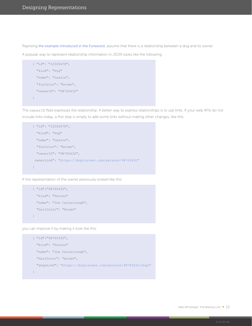Reprising [the example introduced in the Foreword](#page-3-0), assume that there is a relationship between a dog and its owner.

A popular way to represent relationship information in JSON looks like the following:

```
{ "id": "12345678", 
  "kind": "Dog"
  "name": "Lassie", 
  "furColor": "brown",
  "ownerID": "98765432"
}
```
The ownerID field expresses the relationship. A better way to express relationships is to use links. If your web APIs do not include links today, a first step is simply to add some links without making other changes, like this:

```
{ "id": "12345678", 
  "kind": "Dog"
  "name": "Lassie", 
  "furColor": "brown",
  "ownerID": "98765432",
 ownerLink": "https://dogtracker.com/persons/98765432"
}
```
If the representation of the owner previously looked like this

```
{ "id":"98765432", 
  "kind": "Person"
  "name": "Joe Carraclough", 
  "hairColor": "brown"
}
```
you can improve it by making it look like this:

```
{ "id":"98765432", 
  "kind": "Person"
  "name": "Joe Carraclough", 
  "hairColor": "brown",
   "dogsLink": "https://dogtracker.com/persons/98765432/dogs"
}
```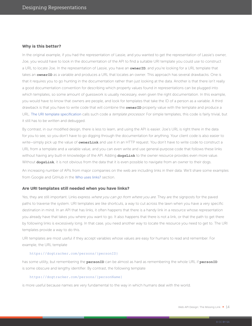#### **Why is this better?**

In the original example, if you had the representation of Lassie, and you wanted to get the representation of Lassie's owner, Joe, you would have to look in the documentation of the API to find a suitable URI template you could use to construct a URL to locate Joe. In the representation of Lassie, you have an **ownerID**, and you're looking for a URL template that takes an **ownerID** as a variable and produces a URL that locates an owner. This approach has several drawbacks. One is that it requires you to go hunting in the documentation rather than just looking at the data. Another is that there isn't really a good documentation convention for describing which property values found in representations can be plugged into which templates, so some amount of guesswork is usually necessary, even given the right documentation. In this example, you would have to know that owners are people, and look for templates that take the ID of a person as a variable. A third drawback is that you have to write code that will combine the **ownerID** property value with the template and produce a URL. [The URI template specification](https://tools.ietf.org/html/rfc6570) calls such code a template processor. For simple templates, this code is fairly trivial, but it still has to be written and debugged.

By contrast, in our modified design, there is less to learn, and using the API is easier. Joe's URL is right there in the data for you to see, so you don't have to go digging through the documentation for anything. Your client code is also easier to write—simply pick up the value of **ownerLink** and use it in an HTTP request. You don't have to write code to construct a URL from a template and a variable value, and you can even write and use general-purpose code that follows these links without having any built-in knowledge of the API. Adding **dogsLink** to the owner resource provides even more value. Without **dogsLink**, it is not obvious from the data that it is even possible to navigate from an owner to their dogs.

An increasing number of APIs from major companies on the web are including links in their data. We'll share some examples from Google and GitHub in the [Who uses links?](#page-17-0) section.

#### **Are URI templates still needed when you have links?**

Yes, they are still important. Links express where you can go from where you are. They are the signposts for the paved paths to traverse the system. URI templates are like shortcuts, a way to cut across the lawn when you have a very specific destination in mind. In an API that has links, it often happens that there is a handy link in a resource whose representation you already have that takes you where you want to go. It also happens that there is not a link, or that the path to get there by following links is excessively long. In that case, you need another way to locate the resource you need to get to. The URI templates provide a way to do this.

URI templates are most useful if they accept variables whose values are easy for humans to read and remember. For example, the URL template

#### https://dogtracker.com/persons/{personID}

has some utility, but remembering the **personID** can be almost as hard as remembering the whole URL if **personID** is some obscure and lengthy identifier. By contrast, the following template

#### https://dogtracker.com/persons/{personName}

is more useful because names are very fundamental to the way in which humans deal with the world.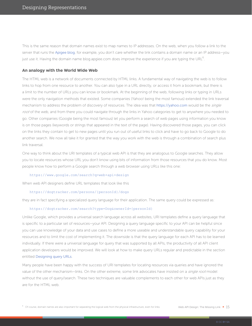This is the same reason that domain names exist to map names to IP addresses. On the web, when you follow a link to the server that runs the [Apigee blog](https://apigee.com/about/blog), for example, you don't care whether the link contains a domain name or an IP address—you just use it. Having the domain name blog.apgiee.com does improve the experience if you are typing the URL  $^6$ .

#### **An analogy with the World Wide Web**

The HTML web is a network of documents connected by HTML links. A fundamental way of navigating the web is to follow links to hop from one resource to another. You can also type in a URL directly, or access it from a bookmark, but there is a limit to the number of URLs you can know or bookmark. At the beginning of the web, following links or typing in URLs were the only navigation methods that existed. Some companies (Yahoo! being the most famous) extended the link traversal mechanism to address the problem of discovery of resources. The idea was that [https://yahoo.com](https://www.yahoo.com/) would be the single root of the web, and from there you could navigate through the links in Yahoo categories to get to anywhere you needed to go. Other companies (Google being the most famous) let you perform a search of web pages using information you know is on those pages (keywords or strings that appeared in the text of the page). Having discovered those pages, you can click on the links they contain to get to new pages until you run out of useful links to click and have to go back to Google to do another search. We now all take it for granted that the way you work with the web is through a combination of search plus link traversal.

One way to think about the URI templates of a typical web API is that they are analogous to Google searches. They allow you to locate resources whose URL you don't know using bits of information from those resources that you do know. Most people know how to perform a Google search through a web browser using URLs like this one:

#### [https://www.google.com/search?q=web+api+design](https://www.google.com/search?q=web+api+design&ie=utf-8&oe=utf-8)

When web API designers define URL templates that look like this

#### https://dogtracker.com/persons/{personId}/dogs

they are in fact specifying a specialized query language for their application. The same query could be expressed as:

#### https://dogtracker.com/search?type=Dog&ownerId={personId}

Unlike Google, which provides a universal search language across all websites, URI templates define a query language that is specific to a particular set of resources—your API. Designing a query language specific to your API can be helpful since you can use knowledge of your data and use cases to define a more useable and understandable query capability for your resources and to limit the cost of implementing it. The downside is that the query language for each API has to be learned individually. If there were a universal language for query that was supported by all APIs, the productivity of all API client application developers would be improved. We will look at how to make query URLs regular and predictable in the section entitled [Designing query URLs](#page-24-0).

Many people have been happy with the success of URI templates for locating resources via queries and have ignored the value of the other mechanism—links. On the other extreme, some link advocates have insisted on a *single root* model without the use of query/search. These two techniques are valuable complements to each other for web APIs just as they are for the HTML web.

 $^6$  Of course, domain names are also important for separating the logical web from the physical infrastructure, even for links. Web API Design: The Missing Link  $\,$   $\,$   $\,15$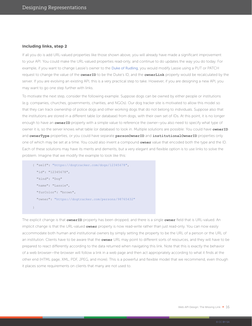#### **Including links, step 2**

If all you do is add URL-valued properties like those shown above, you will already have made a significant improvement to your API. You could make the URL-valued properties read-only, and continue to do updates the way you do today. For example, if you want to change Lassie's owner to the [Duke of Rudling](https://en.wikipedia.org/wiki/Lassie_Come_Home), you would modify Lassie using a PUT or PATCH request to change the value of the **ownerID** to be the Duke's ID, and the **ownerLink** property would be recalculated by the server. If you are evolving an existing API, this is a very practical step to take. However, if you are designing a new API, you may want to go one step further with links.

To motivate the next step, consider the following example. Suppose dogs can be owned by either people or institutions (e.g. companies, churches, governments, charities, and NGOs). Our dog tracker site is motivated to allow this model so that they can track ownership of police dogs and other working dogs that do not belong to individuals. Suppose also that the institutions are stored in a different table (or database) from dogs, with their own set of IDs. At this point, it is no longer enough to have an **ownerID** property with a simple value to reference the owner-you also need to specify what type of owner it is, so the server knows what table (or database) to look in. Multiple solutions are possible: You could have **ownerID** and **ownerType** properties, or you could have separate **personOwnerID** and **institutionalOwnerID** properties only one of which may be set at a time. You could also invent a compound **owner** value that encoded both the type and the ID. Each of these solutions may have its merits and demerits, but a very elegant and flexible option is to use links to solve the problem. Imagine that we modify the example to look like this:

```
{ "self": "https://dogtracker.com/dogs/12345678", 
   "id": "12345678",
   "kind": "Dog"
   "name": "Lassie", 
   "furColor": "brown",
   "owner": "https://dogtracker.com/persons/98765432"
}
```
The explicit change is that **ownerID** property has been dropped, and there is a single **owner** field that is URL-valued. An implicit change is that the URL-valued **owner** property is now read-write rather than just read-only. You can now easily accommodate both human and institutional owners by simply setting the property to be the URL of a person or the URL of an institution. Clients have to be aware that the **owner** URL may point to different sorts of resources, and they will have to be prepared to react differently according to the data returned when navigating this link. Note that this is exactly the behavior of a web browser—the browser will follow a link in a web page and then act appropriately according to what it finds at the other end (HTML page, XML, PDF, JPEG, and more). This is a powerful and flexible model that we recommend, even though it places some requirements on clients that many are not used to.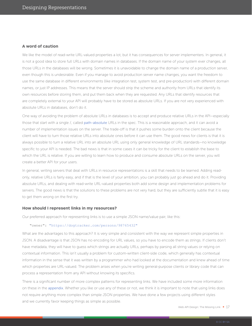#### **A word of caution**

We like the model of read-write URL-valued properties a lot, but it has consequences for server implementers. In general, it is not a good idea to store full URLs with domain names in databases. If the domain name of your system ever changes, all those URLs in the databases will be wrong. Sometimes it is unavoidable to change the domain name of a production server, even though this is undesirable. Even if you manage to avoid production server name changes, you want the freedom to use the same database in different environments (like integration test, system test, and pre-production) with different domain names, or just IP addresses. This means that the server should strip the scheme and authority from URLs that identify its own resources before storing them, and put them back when they are requested. Any URLs that identify resources that are completely external to your API will probably have to be stored as absolute URLs. If you are not very experienced with absolute URLs in databases, don't do it.

One way of avoiding the problem of absolute URLs in databases is to accept and produce relative URLs in the API—especially those that start with a single /, called [path-absolute](https://tools.ietf.org/html/rfc3986#section-3) URLs in the spec. This is a reasonable approach, and it can avoid a number of implementation issues on the server. The trade-off is that it pushes some burden onto the client because the client will have to turn those relative URLs into absolute ones before it can use them. The good news for clients is that it is always possible to turn a relative URL into an absolute URL using only general knowledge of URL standards—no knowledge specific to your API is needed. The bad news is that in some cases it can be tricky for the client to establish the base to which the URL is relative. If you are willing to learn how to produce and consume absolute URLs on the server, you will create a better API for your users.

In general, writing servers that deal with URLs in resource representations is a skill that needs to be learned. Adding readonly, relative URLs is fairly easy, and if that is the level of your ambition, you can probably just go ahead and do it. Providing absolute URLs, and dealing with read-write URL-valued properties both add some design and implementation problems for servers. The good news is that the solutions to these problems are not very hard, but they are sufficiently subtle that it is easy to get them wrong on the first try.

#### **How should I represent links in my resources?**

Our preferred approach for representing links is to use a simple JSON name/value pair, like this:

#### "owner": "https://dogtracker.com/persons/98765432"

What are the advantages to this approach? It is very simple and consistent with the way we represent simple properties in JSON. A disadvantage is that JSON has no encoding for URL values, so you have to encode them as strings. If clients don't have metadata, they will have to guess which strings are actually URLs, perhaps by parsing all string values or relying on contextual information. This isn't usually a problem for custom-written client-side code, which generally has contextual information in the sense that it was written by a programmer who had looked at the documentation and knew ahead of time which properties are URL-valued. The problem arises when you're writing general-purpose clients or library code that can process a representation from any API without knowing its specifics.

There is a significant number of more complex patterns for representing links. We have included some more information on these in the [appendix](#page-48-0). Whether you like or use any of these or not, we think it is important to note that using links does not require anything more complex than simple JSON properties. We have done a few projects using different styles and we currently favor keeping things as simple as possible.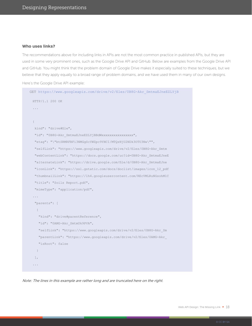#### <span id="page-17-0"></span>**Who uses links?**

The recommendations above for including links in APIs are not the most common practice in published APIs, but they are used in some very prominent ones, such as the Google Drive API and GitHub. Below are examples from the Google Drive API and GitHub. You might think that the problem domain of Google Drive makes it especially suited to these techniques, but we believe that they apply equally to a broad range of problem domains, and we have used them in many of our own designs.

Here's the Google Drive API example:

```
GET https://www.googleapis.com/drive/v2/files/0B8G-Akr_SmtmaEJneEZLYjB
 HTTP/1.1 200 OK
 {
   kind": "drive#file",
  "id": "0B8G-Akr_SmtmaEJneEZLYjBBdWxxxxxxxxxxxxxxxxx",
   "etag": "\"btSRMRFBFi3NMGgScYWZpc9YNCI/MTQzNjU2NDk3OTU3Nw\"",
   "selfLink": "https://www.googleapis.com/drive/v2/files/0B8G-Akr_Smtm
   "webContentLink": "https://docs.google.com/uc?id=0B8G-Akr_SmtmaEJneE
   "alternateLink": "https://drive.google.com/file/d/0B8G-Akr_SmtmaEJne
   "iconLink": "https://ssl.gstatic.com/docs/doclist/images/icon_12_pdf
   "thumbnailLink": "https://lh4.googleusercontent.com/REcVMLRuNGsohM1C
   "title": "Soils Report.pdf",
   "mimeType": "application/pdf",
  ...
   "parents": [
   \left\{ \right. "kind": "drive#parentReference",
     "id": "0AMG-Akr_SmtmUk9PVA",
     "selfLink": "https://www.googleapis.com/drive/v2/files/0B8G-Akr_Sm
     "parentLink": "https://www.googleapis.com/drive/v2/files/0AMG-Akr_
     "isRoot": false
    }
   ],
  ...
```
Note: The lines in this example are rather long and are truncated here on the right.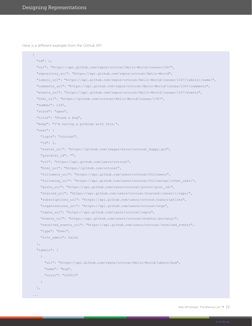<span id="page-18-0"></span>Here is a different example from the GitHub API:

```
\{ "id": 1,
   "url": "https://api.github.com/repos/octocat/Hello-World/issues/1347",
   "repository_url": "https://api.github.com/repos/octocat/Hello-World",
   "labels_url": "https://api.github.com/repos/octocat/Hello-World/issues/1347/labels{/name}",
   "comments_url": "https://api.github.com/repos/octocat/Hello-World/issues/1347/comments",
   "events_url": "https://api.github.com/repos/octocat/Hello-World/issues/1347/events",
   "html_url": "https://github.com/octocat/Hello-World/issues/1347",
   "number": 1347,
   "state": "open",
   "title": "Found a bug",
   "body": "I'm having a problem with this.",
   "user": {
     "login": "octocat",
     "id": 1,
     "avatar_url": "https://github.com/images/error/octocat_happy.gif",
     "gravatar_id": "",
     "url": "https://api.github.com/users/octocat",
     "html_url": "https://github.com/octocat",
     "followers_url": "https://api.github.com/users/octocat/followers",
     "following_url": "https://api.github.com/users/octocat/following{/other_user}",
     "gists_url": "https://api.github.com/users/octocat/gists{/gist_id}",
     "starred_url": "https://api.github.com/users/octocat/starred{/owner}{/repo}",
     "subscriptions_url": "https://api.github.com/users/octocat/subscriptions",
     "organizations_url": "https://api.github.com/users/octocat/orgs",
     "repos_url": "https://api.github.com/users/octocat/repos",
     "events_url": "https://api.github.com/users/octocat/events{/privacy}",
     "received_events_url": "https://api.github.com/users/octocat/received_events",
     "type": "User",
     "site_admin": false
   },
   "labels": [
   \left\{ \begin{array}{c} \end{array} \right\} "url": "https://api.github.com/repos/octocat/Hello-World/labels/bug",
       "name": "bug",
       "color": "f29513"
     }
   ],
...
```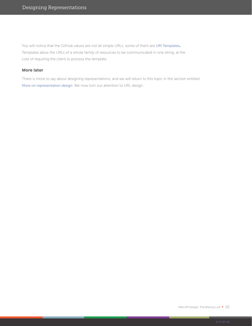You will notice that the GitHub values are not all simple URLs; some of them are [URI Templates](https://tools.ietf.org/html/rfc6570)**.**  Templates allow the URLs of a whole family of resources to be communicated in one string, at the cost of requiring the client to process the template.

#### **More later**

There is more to say about designing representations, and we will return to this topic in the section entitled [More on representation design](#page-29-0). We now turn our attention to URL design.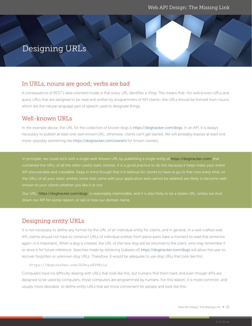## <span id="page-20-0"></span>Designing URLs

### In URLs, nouns are good; verbs are bad

A consequence of REST's data-oriented model is that every URL identifies a thing. This means that—for well-known URLs and query URLs that are designed to be read and written by programmers of API clients—the URLs should be formed from nouns, which are the natural language part of speech used to designate things.

### Well-known URLs

In the example above, the URL for the collection of known dogs is https://dogtracker.com/dogs. In an API, it is always necessary to publish at least one well-known URL; otherwise, clients can't get started. We will probably expose at least one more—possibly something like https://dogtracker.com/owners for known owners.

In principle, we could stick with a single well-known URL by publishing a single entity at https://dogtracker.com/ that contained the URLs of all the other useful static entities. It is a good practice to do this because it helps make your entire API discoverable and crawlable. Keep in mind though that it is tedious for clients to have to go to that root every time, so the URLs of all your static entities (ones that came with your application and cannot be deleted) are likely to become well-

Our URL, https://dogtracker.com/dogs, is reasonably memorable, and it is also likely to be a stable URL, unless we shut

## Designing entity URLs

It is not necessary to define any format for the URL of an individual entity for clients, and in general, in a well-crafted web API, clients should not have to construct URLs of individual entities from piece-parts (take a moment to read that sentence again—it is important). When a dog is created, the URL of the new dog will be returned to the client, who may remember it or store it for future reference. Searches made by retrieving [subsets of] https://dogtracker.com/dogs will allow the user to recover forgotten or unknown dog URLs. Therefore, it would be adequate to use dog URLs that look like this:

#### https://dogtracker.com/ZG9n;a8098c1a

Computers have no difficulty dealing with URLs that look like this, but humans find them hard, and even though APIs are designed to be used by computers, those computers are programmed by humans. For this reason, it is more common, and usually more desirable, to define entity URLs that are more convenient for people and look like this: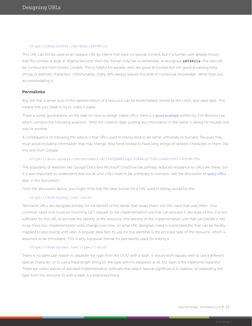#### https://dogtracker.com/dogs/a8098c1a

This URL can still be used as an opaque URL by clients that have no special context, but if a human user already knows that the context is dogs at dogtracker.com, then the human only has to remember or recognize **a8098c1a**—the rest can be constructed from known context. This is helpful for people, who are good at context but not good at parsing long strings of arbitrary characters. Unfortunately, many APIs always require this kind of contextual knowledge, rather than just accommodating it.

#### **Permalinks**

Any link that a server puts in the representation of a resource can be bookmarked, stored by the client, and used later. This means that you need to try to make it stable.

There is some good advice on the web on how to design stable URLs. Here is a [good example](https://www.w3.org/Provider/Style/URI.html) written by Tim Berners-Lee, which contains the following assertion, "After the creation date, putting any information in the name is asking for trouble one way or another."

A consequence of following this advice is that URLs used in linking tend to be rather unfriendly to humans. Because they must avoid including information that may change, they tend instead to have long strings of random characters in them, like this one from Google:

#### https://docs.google.com/document/d/1YADQAXN2sqyC2OAkblp75GUccnAScVSVI7GZk5M-TRo

The popularity of websites like Google Docs and Microsoft OneDrive has perhaps reduced resistance to URLs like these, but it is also important to understand that not all your URLs have to be unfriendly to humans—see the discussion of [query URLs](#page-24-0) later in this document.

From the discussion above, you might think that the ideal format for a URL used in linking would be this:

#### https://dogtracker.com/{uuid}

Permalink URLs are designed entirely for the benefit of the server that issues them, not the client that uses them. One common need is to route an incoming GET request to the *implementation unit* that can process it. Because of this, it is not sufficient for the URL to encode the identity of the resource—the identity of the implementation unit that can handle it has to be there too. Implementation units change over time, so what URL designers need is some identifier that can be flexibly mapped to processing units later. A popular data item to use for this identifier is the principal type of the resource, which is assumed to be immutable. This is why a popular format for permalinks used for linking is:

#### https://dogtracker.com/{type}/{uuid}

There is no particular reason to separate the type from the UUID with a slash. It would work equally well to use a different special character, or to use a fixed-length string for the type with no separator at all, but slash is the traditional separator. There are useful pieces of standard implementation software that attach special significance to slashes, so separating the type from the resource ID with a slash is a practical choice.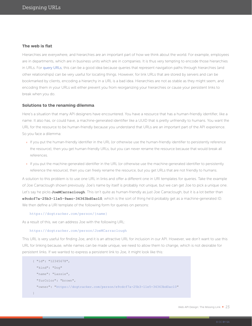#### **The web is flat**

Hierarchies are everywhere, and hierarchies are an important part of how we think about the world. For example, employees are in departments, which are in business units which are in companies. It is thus very tempting to encode those hierarchies in URLs. For [query URLs](#page-24-0), this can be a good idea because queries that represent navigation paths through hierarchies (and other relationships) can be very useful for locating things. However, for link URLs that are stored by servers and can be bookmarked by clients, encoding a hierarchy in a URL is a bad idea. Hierarchies are not as stable as they might seem, and encoding them in your URLs will either prevent you from reorganizing your hierarchies or cause your persistent links to break when you do.

#### **Solutions to the renaming dilemma**

Here's a situation that many API designers have encountered. You have a resource that has a human-friendly identifier, like a name. It also has, or could have, a machine-generated identifier like a UUID that is pretty unfriendly to humans. You want the URL for the resource to be human-friendly because you understand that URLs are an important part of the API experience. So you face a dilemma:

If you put the human-friendly identifier in the URL (or otherwise use the human-friendly identifier to persistently reference the resource), then you get human-friendly URLs, but you can never rename the resource because that would break all references.

If you put the machine-generated identifier in the URL (or otherwise use the machine-generated identifier to persistently reference the resource), then you can freely rename the resource, but you get URLs that are not friendly to humans.

A solution to this problem is to use one URL in links and offer a different one in URI templates for queries. Take the example of Joe Carraclough shown previously. Joe's name by itself is probably not unique, but we can get Joe to pick a unique one. Let's say he picks **JoeMCarraclough**. This isn't quite as human-friendly as just Joe Carraclough, but it is a lot better than **e9cdcf7a-25b3-11e5-9aec-34363bd0ac10**, which is the sort of thing he'd probably get as a machine-generated ID. We then define a URI template of the following form for queries on persons:

#### https://dogtracker.com/person/{name}

As a result of this, we can address Joe with the following URL:

#### https://dogtracker.com/person/JoeMCarraclough

This URL is very useful for finding Joe, and it is an attractive URL for inclusion in our API. However, we don't want to use this URL for linking because, while names can be made unique, we need to allow them to change, which is not desirable for persistent links. If we wanted to express a persistent link to Joe, it might look like this:

```
{ "id": "12345678", 
  "kind": "Dog"
  "name": "Lassie", 
  "furColor": "brown",
   "owner": "https://dogtracker.com/person/e9cdcf7a-25b3-11e5-34363bd0ac10"
}
```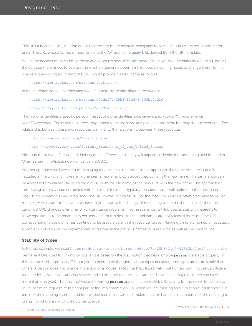This isn't a beautiful URL, but that doesn't matter too much because being able to parse URLs in links is not important for users. The URL whose format is more visible to the API user is the [query URL](#page-24-0) derived from the URI template.

When Joe decides to marry his girlfriend and adopt his new wife's last name, Smith, we have no difficulty renaming Joe. All the persistent references to Joe use the machine-generated permalink for Joe, so nothing needs to change there. To find Joe via a query using a URI template, you would provide his new name as follows:

#### https://dogtracker.com/persons/JoeSmith44

In the approach above, the following two URLs actually identify different resources:

#### https://dogtracker.com/persons/e9cdcf7a-25b3-11e5-34363bd0ac10

#### https://dogtracker.com/persons/JoeMCarraclough

The first one identifies a specific person. The second one identifies *whichever person currently has the name* JoeMCarraclough. These two resources may appear to be the same at a particular moment, but may diverge over time. The relationship between these two resources is similar to the relationship between these resources:

#### [http://dbpedia.org/page/Barack\\_Obama](http://dbpedia.org/page/Barack_Obama)

#### http://dbpedia.org/page/Current\_President\_Of\_the\_United\_States

Although these two URLs<sup>7</sup> actually identify quite different things, they will appear to identify the same thing until the end of Obama's term in office at noon on January 20, 2017.

Another approach we have seen to managing rename is to use aliases. In this approach, the name of the resource is included in the URL, and if the name changes, a new alias URL is added that contains the new name. The same entity can be addressed simultaneously using the old URL with the old name or the new URL with the new name. The approach of introducing aliases can be combined with the use of redirects—typically the older aliases will redirect to the most recent one. Using redirect this way establishes one URL as the *canonical* URL for the resource, which is often preferable to having multiple peer aliases for the same resource. If you choose the strategy of redirecting to the most recent alias, then the canonical URL changes over time, which can cause problems in some scenarios. GitHub uses aliases with redirects to allow repositories to be renamed. A consequence of this design is that old names are not released for reuse—the URLs corresponding to the old names continue to be associated with the resource forever. Hanging on to old names is not usually a problem, but requires the implementation to store all the previous names for a resource as well as the current one.

#### **Stability of types**

In the last example, we used https://dogtracker.com/person/e9cdcf7a-25b3-11e5-34363bd0ac10 as the stable, permanent URL used for linking for Joe. This is based on the assumption that being of type **person** is a stable property. In this example, this is probably OK, but you do need to be thoughtful about types because some types are more stable than others. A person does not change into a dog or a mouse (except perhaps figuratively), but hunters turn into prey, politicians turn into lobbyists, clients are also servers and so on (note that the last example shows that a single resource can have more than one type). The only motivation for having **person** appear in a permalink URL at all is for the server to be able to route incoming requests to the right part of the implementation. So, when you are thinking about this topic, think about it in terms of the mapping—current and future—between resources and implementation handlers, not in terms of the meaning to clients, for whom a link URL should be opaque.

 $7$  The first URL is real; the second we made up.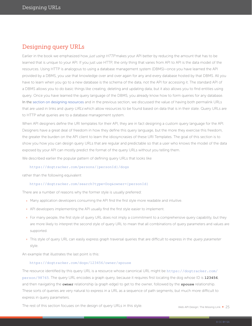## <span id="page-24-0"></span>Designing query URLs

Earlier in the book we emphasized how just using HTTP makes your API better by reducing the amount that has to be learned that is unique to your API. If you just use HTTP, the only thing that varies from API to API is the data model of the resources. Using HTTP is analogous to using a database management system (DBMS)—once you have learned the API provided by a DBMS, you use that knowledge over and over again for any and every database hosted by that DBMS. All you have to learn when you go to a new database is the schema of the data, not the API for accessing it. The standard API of a DBMS allows you to do basic things like creating, deleting and updating data, but it also allows you to find entities using query. Once you have learned the query language of the DBMS, you already know how to form queries for any database. In [the section on designing resources](#page-20-0) and in the previous section, we discussed the value of having both permalink URLs that are used in links and query URLs which allow resources to be found based on data that is in their state. Query URLs are to HTTP what queries are to a database management system.

When API designers define the URI templates for their API, they are in fact designing a custom query language for the API. Designers have a great deal of freedom in how they define this query language, but the more they exercise this freedom, the greater the burden on the API client to learn the idiosyncrasies of these URI Templates. The goal of this section is to show you how you can design query URLs that are regular and predictable so that a user who knows the model of the data exposed by your API can mostly predict the format of the query URLs without you telling them.

We described earlier the popular pattern of defining query URLs that looks like

#### https://dogtracker.com/persons/{personId}/dogs

rather than the following equivalent

#### https://dogtracker.com/search?type=Dog&owner={personId}

There are a number of reasons why the former style is usually preferred:

Many application developers consuming the API find the first style more readable and intuitive.

API developers implementing the API usually find the first style easier to implement.

For many people, the first style of query URL does not imply a commitment to a comprehensive query capability, but they are more likely to interpret the second style of query URL to mean that all combinations of query parameters and values are supported.

This style of query URL can easily express graph traversal queries that are difficult to express in the query parameter style.

An example that illustrates the last point is this:

#### https://dogtracker.com/dogs/123456/owner/spouse

The resource identified by this query URL is a resource whose canonical URL might be https://dogtracker.com/ person/98765. The query URL encodes a graph query, because it requires first locating the dog whose ID is **123456**, and then navigating the **owner** relationship (a graph edge) to get to the owner, followed by the **spouse** relationship. These sorts of queries are very natural to express in a URL as a sequence of path segments, but much more difficult to express in query parameters.

The rest of this section focuses on the design of query URLs in this style.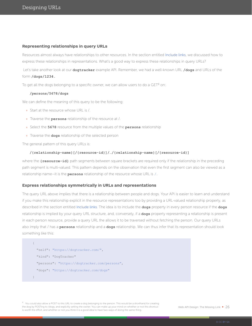#### **Representing relationships in query URLs**

Resources almost always have relationships to other resources. In the section entitled [Include links](#page-11-0), we discussed how to express these relationships in representations. What's a good way to express these relationships in query URLs?

Let's take another look at our **dogtracker** example API. Remember, we had a well-known URL **/dogs** and URLs of the form **/dogs/1234.**

To get all the dogs belonging to a specific owner, we can allow users to do a  $GET^8$  on:

#### **/persons/5678/dogs**

We can define the meaning of this query to be the following:

Start at the resource whose URL is /.

Traverse the **persons** relationship of the resource at /.

Select the **5678** resource from the multiple values of the **persons** relationship

Traverse the **dogs** relationship of the selected person

The general pattern of this query URLs is:

#### **/{relationship-name}[/{resource-id}]/…/{relationship-name}[/{resource-id}]**

where the **{resource-id}** path segments between square brackets are required only if the relationship in the preceding path segment is multi-valued. This pattern depends on the observation that even the first segment can also be viewed as a relationship name—it is the **persons** relationship of the resource whose URL is /.

#### **Express relationships symmetrically in URLs and representations**

The query URL above implies that there is a relationship between people and dogs. Your API is easier to learn and understand if you make this relationship explicit in the resource representations too by providing a URL-valued relationship property, as described in the section entitled [Include links](#page-11-0). The idea is to include the **dogs** property in every person resource if the **dogs** relationship is implied by your query URL structure, and, conversely, if a **dogs** property representing a relationship is present in each person resource, provide a query URL the allows it to be traversed without fetching the person. Our query URLs also imply that / has a **persons** relationship and a **dogs** relationship. We can thus infer that its representation should look something like this:



<sup>8</sup> You could also allow a POST to this URL to create a dog belonging to the person. This would be a shorthand for creating the dog by POSTing to /dogs, and explicitly setting the owner. You can make up your mind on whether or not this shortcut is worth the effort, and whether or not you think it is a good idea to have two ways of doing the same thing.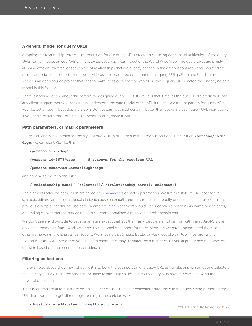#### **A general model for query URLs**

Adopting this relationship-traversal interpretation for our query URLs creates a satisfying conceptual unification of the query URLs found in popular web APIs with the single-root with links model of the World Wide Web. The query URLs are simply allowing efficient traversal of sequences of relationships that are already defined in the data without requiring intermediate resources to be fetched. This makes your API easier to learn because it unifies the query URL pattern and the data model. [Rapier](https://github.com/apigee-labs/rapier) is an open source project that tries to make it easier to specify web APIs whose query URLs match the underlying data model in this fashion.

There is nothing sacred about this pattern for designing query URLs. Its value is that it makes the query URLs predictable for any client programmer who has already understood the data model of the API. If there is a different pattern for query APIs you like better, use it, but adopting a consistent pattern is almost certainly better than designing each query URL individually. If you find a pattern that you think is superior to ours, share it with us.

#### **Path parameters, or matrix parameters**

There is an alternative syntax for the style of query URLs discussed in the previous sections. Rather than **/persons/5678/ dogs**, we can use URLs like this:

#### **/persons;5678/dogs**

**/persons;id=5678/dogs # synonym for the previous URL**

#### **/persons;name=JoeMCarraclough/dogs**

and generalize them to this rule:

#### **/{relationship-name}[;{selector}]/…/{relationship-name}[;{selector}]**

The elements after the semicolon are called [path parameters](https://tools.ietf.org/html/rfc3986#section-3.3) or matrix parameters. We like this style of URL both for its syntactic tidiness and its conceptual clarity because each path segment represents exactly one relationship traversal. In the previous example that did not use path parameters, a path segment would either contain a relationship name or a selector, depending on whether the preceding path segment contained a multi-valued relationship name.

We don't see any downside to path parameters except perhaps that many people are not familiar with them. Jax-RS is the only implementation framework we know that has explicit support for them, although we have implemented them using other frameworks, like Express for Node.js. We imagine that Sinatra, Bottle, or Flask would work too if you are writing in Python or Ruby. Whether or not you use path parameters may ultimately be a matter of individual preference or a practical decision based on implementation considerations.

#### **Filtering collections**

The examples above show how effective it is to build the path portion of a query URL using relationship names and selectors that identify a single resource amongst multiple relationship values, but many query APIs have intricacies beyond the traversal of relationships.

It has been traditional to put more complex query clauses that filter collections after the **?** in the query string portion of the URL. For example, to get all red dogs running in the park looks like this:

**/dogs?color=red&state=running&location=park**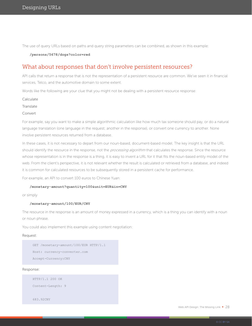The use of query URLs based on paths and query string parameters can be combined, as shown in this example:

#### **/persons/5678/dogs?color=red**

### What about responses that don't involve persistent resources?

API calls that return a response that is not the representation of a persistent resource are common. We've seen it in financial services, Telco, and the automotive domain to some extent.

Words like the following are your clue that you might not be dealing with a persistent resource response:

- Calculate
- **Translate**

#### Convert

For example, say you want to make a simple algorithmic calculation like how much tax someone should pay, or do a natural language translation (one language in the request; another in the response), or convert one currency to another. None involve persistent resources returned from a database.

In these cases, it is not necessary to depart from our noun-based, document-based model. The key insight is that the URL should identify the resource in the response, not the *processing algorithm* that calculates the response. Since the resource whose representation is in the response is a thing, it is easy to invent a URL for it that fits the noun-based entity model of the web. From the client's perspective, it is not relevant whether the result is calculated or retrieved from a database, and indeed it is common for calculated resources to be subsequently stored in a persistent cache for performance.

For example, an API to convert 100 euros to Chinese Yuan:

#### **/monetary-amount?quantity=100&unit=EUR&in=CNY**

or simply

#### **/monetary-amount/100/EUR/CNY**

The resource in the response is an amount of money expressed in a currency, which is a thing you can identify with a noun or noun phrase.

You could also implement this example using content negotiation:

#### Request:

```
GET /monetary-amount/100/EUR HTTP/1.1
Host: currency-converter.com
Accept-Currency:CNY
```
Response:

```
HTTP/1.1 200 OK
Content-Length: 9
```
683.92CNY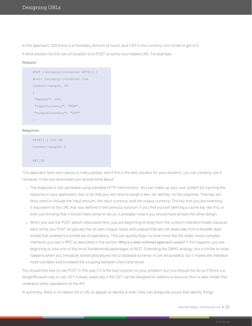In this approach, 100 euros is a monetary amount (a noun), and CNY is the currency unit I'd like to get it in.

A third solution for this sort of situation is to POST to some noun-based URL. For example:

#### Request:

```
POST /currency-converter HTTP/1.1
Host: currency-converter.com
Content-Length: 69
{
  "amount": 100,
  "inputCurrency": "EUR",
  "outputCurrency": "CNY"
}
```
#### Response:

```
HTTP/1.1 200 OK
Content-Length: 5
683.92
```
This approach feels very natural to many people, and if this is the best solution for your situation, you can certainly use it. However, it has two downsides you should think about:

The response is not cacheable using standard HTTP mechanisms. You can make up your own system for caching the response in your application, but to do that you will have to assign a key—an identity—to the response. That key will likely need to include the input amount, the input currency, and the output currency. The key that you are inventing is equivalent to the URL that was defined in the previous solution. If you find yourself defining a cache key like this, or even just thinking that it would make sense to do so, it probably means you should have picked the other design.

When you use the POST pattern discussed here, you are beginning to stray from the *uniform interface* model, because each entity you POST to typically has its own unique inputs and outputs that are not deducible from a broader data model that underpins a whole set of operations. This can quickly begin to look more like the wider, more complex interfaces you see in RPC as described in the section [Why is a data-oriented approach useful?](#page-8-0) If this happens, you are beginning to lose one of the most fundamental advantages of REST. Extending the DBMS analogy, this is similar to what happens when you introduce stored procedures into a database schema—it can be powerful, but it makes the interface more complex and increases the coupling between client and server.

You should feel free to use POST in this way if it is the best solution to your problem, but you should not do so if there is a straightforward way to use GET instead, especially if the GET can be designed to address a resource from a data model that underpins other operations of the API.

In summary, there is no reason for a URL to appear to identify a verb—they can always be nouns that identify things.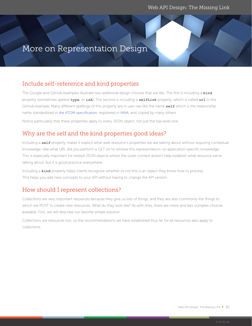## <span id="page-29-0"></span>More on Representation Design

## Include self-reference and kind properties

The Google and GitHub examples illustrate two additional design choices that we like. The first is including a **kind** property (sometimes spelled **type**, or **isA**). The second is including a **selfLink** property, which is called **url** in the GitHub example. Many different spellings of this property are in use—we like the name **self** which is the relationship name standardized in [the ATOM specification](https://tools.ietf.org/html/rfc4287#section-4.2.7.2), registered in [IANA](http://www.iana.org/assignments/link-relations/link-relations.xhtml), and copied by many others.

Notice particularly that these properties apply to every JSON object, not just the top-level one.

## Why are the self and the kind properties good ideas?

Including a **self** property makes it explicit what web resource's properties we are talking about without requiring contextual knowledge—like what URL did you perform a GET on to retrieve this representation—or application-specific knowledge. This is especially important for nested JSON objects where the outer context doesn't help establish what resource we're talking about, but it is good practice everywhere.

Including a **kind** property helps clients recognize whether or not this is an object they know how to process. This helps you add new concepts to your API without having to change the API version.

## How should I represent collections?

Collections are very important resources because they give us lists of things, and they are also commonly the things to which we POST to create new resources. What do they look like? As with links, there are more and less complex choices available. First, we will describe our favorite simple solution.

Collections are resources too, so the recommendations we have established thus far for all resources also apply to collections.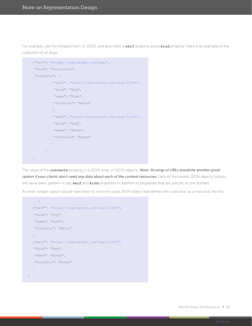For example, use the simplest form of JSON, and give them a **self** property and a **kind** property. Here is an example of the collection of all dogs:

```
{"self": "https://dogtracker.com/dogs", 
 "kind": "Collection",
  "contents": [
           {"self": "https://dogtracker.com/dogs/12344", 
            "kind": "Dog",
            "name": "Fido",
            "furColor": "white"
           },
           {"self": "https://dogtracker.com/dogs/12345", 
            "kind": "Dog",
            "name": "Rover",
            "furColor": "brown"
          }
      \blacksquare}
```
The value of the **contents** property is a JSON array of JSON objects. Note: An array of URLs would be another good option if your clients don't need any data about each of the content resources. Each of the nested JSON objects follows the same basic pattern—it has **self** and **kind** properties in addition to properties that are specific to the domain.

An even simpler option would have been to omit the outer JSON object that defines the collection as a resource, like this:

```
\Gamma{"self": "https://dogtracker.com/dogs/12344", 
    "kind": "Dog",
    "name": "Fido",
    "furColor": "white"
  },
  {"self": "https://dogtracker.com/dogs/12345", 
    "kind": "Dog",
    "name": "Rover",
    "furColor": "brown"
  }
\, \, \,
```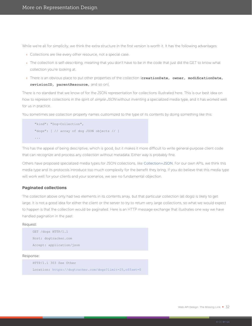<span id="page-31-0"></span>While we're all for simplicity, we think the extra structure in the first version is worth it. It has the following advantages:

Collections are like every other resource, not a special case.

The collection is self-describing, meaning that you don't have to be in the code that just did the GET to know what collection you're looking at.

There is an obvious place to put other properties of the collection (**creationDate**, **owner**, **modificationDate**,

**revisionID**, **parentResource**, and so on).

There is no standard that we know of for the JSON representation for collections illustrated here. This is our best idea on how to represent collections in the spirit of simple JSON without inventing a specialized media type, and it has worked well for us in practice.

You sometimes see collection property names customized to the type of its contents by doing something like this:

```
 "kind": "Dog-Collection",
 "dogs": [ // array of dog JSON objects // ]
 ...
```
This has the appeal of being descriptive, which is good, but it makes it more difficult to write general-purpose client code that can recognize and process any collection without metadata. Either way is probably fine.

Others have proposed specialized media types for JSON collections, like [Collection+JSON](http://amundsen.com/media-types/collection/format/). For our own APIs, we think this media type and its protocols introduce too much complexity for the benefit they bring. If you do believe that this media type will work well for your clients and your scenarios, we see no fundamental objection.

#### **Paginated collections**

The collection above only had two elements in its contents array, but that particular collection (all dogs) is likely to get large. It is not a good idea for either the client or the server to try to return very large collections, so what we would expect to happen is that the collection would be paginated. Here is an HTTP message exchange that illustrates one way we have handled pagination in the past:

#### Request:

| GET /dogs HTTP/1.1       |
|--------------------------|
| Host: dogtracker.com     |
| Accept: application/json |

#### Response:

```
HTTP/1.1 303 See Other
Location: https://dogtracker.com/dogs?limit=25,offset=0
```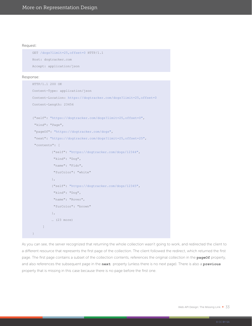#### Request:

```
GET /dogs?limit=25,offset=0 HTTP/1.1
Host: dogtracker.com
Accept: application/json
```
#### Response:

```
HTTP/1.1 200 OK
Content-Type: application/json
Content-Location: https://dogtracker.com/dogs?limit=25,offset=0
Content-Length: 23456
{"self": "https://dogtracker.com/dogs?limit=25,offset=0", 
  "kind": "Page",
  "pageOf": "https://dogtracker.com/dogs",
  "next": "https://dogtracker.com/dogs?limit=25,offset=25",
  "contents": [
           {"self": "https://dogtracker.com/dogs/12344", 
            "kind": "Dog",
            "name": "Fido",
            "furColor": "white"
           },
           {"self": "https://dogtracker.com/dogs/12345", 
            "kind": "Dog",
            "name": "Rover",
            "furColor": "brown"
           },
           … (23 more)
      ]
}
```
As you can see, the server recognized that returning the whole collection wasn't going to work, and redirected the client to a different resource that represents the first page of the collection. The client followed the redirect, which returned the first page. The first page contains a subset of the collection contents, references the original collection in the **pageOf** property, and also references the subsequent page in the **next** property (unless there is no next page). There is also a **previous** property that is missing in this case because there is no page before the first one.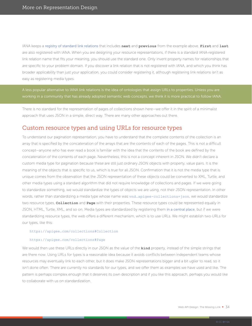IANA keeps a [registry of standard link relations](http://www.iana.org/assignments/link-relations/link-relations.xhtml) that includes **next** and **previous** from the example above. **First** and **last** are also registered with IANA. When you are designing your resource representations, if there is a standard IANA-registered link relation name that fits your meaning, you should use the standard one. Only invent property names for relationships that are specific to your problem domain. If you discover a link relation that is not registered with IANA, and which you think has broader applicability than just your application, you could consider registering it, although registering link relations isn't as easy as registering media types.

A less popular alternative to IANA link relations is the idea of ontologies that assign URLs to properties. Unless you are working in a community that has already adopted semantic web concepts, we think it is more practical to follow IANA.

There is no standard for the representation of pages of collections shown here—we offer it in the spirit of a minimalist approach that uses JSON in a simple, direct way. There are many other approaches out there.

### Custom resource types and using URLs for resource types

To understand our pagination representation, you have to understand that the complete contents of the collection is an array that is specified by the concatenation of the arrays that are the contents of each of the pages. This is not a difficult concept—anyone who has ever read a book is familiar with the idea that the contents of the book are defined by the concatenation of the contents of each page. Nevertheless, this is not a concept inherent in JSON. We didn't declare a custom media type for pagination because these are still just ordinary JSON objects with property, value pairs. It is the meaning of the objects that is specific to us, which is true for all JSON. Confirmation that it is not the media type that is unique comes from the observation that the JSON representation of these objects could be converted to XML, Turtle, and other media types using a standard algorithm that did not require knowledge of collections and pages. If we were going to standardize something, we would standardize the types of objects we are using, not their JSON representation. In other words, rather than standardizing a media type whose name was vnd.apigee-collections+json, we would standardize two resource types, **Collection** and **Page** with their properties. These resource types could be represented equally in JSON, HTML, Turtle, XML, and so on. Media types are standardized by registering them [in a central place](http://www.iana.org/assignments/media-types/media-types.xhtml), but if we were standardizing resource types, the web offers a different mechanism, which is to use URLs. We might establish two URLs for our types, like this:

#### https://apigee.com/collections#Collection

#### https://apigee.com/collections#Page

We would then use these URLs directly in our JSON as the value of the **kind** property, instead of the simple strings that are there now. Using URLs for types is a reasonable idea because it avoids conflicts between independent teams whose resources may eventually link to each other, but it does make JSON representations bigger and a bit uglier to read, so it isn't done often. There are currently no standards for our types, and we offer them as examples we have used and like. The pattern is perhaps complex enough that it deserves its own description and if you like this approach, perhaps you would like to collaborate with us on standardization.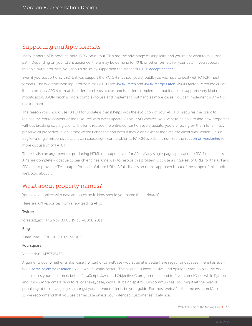## Supporting multiple formats

Many modern APIs produce only JSON on output. This has the advantage of simplicity, and you might want to take that path. Depending on your client audience, there may be demand for XML or other formats for your data. If you support multiple output formats, you should do so by supporting the standard [HTTP Accept header](https://tools.ietf.org/html/rfc7231#section-5.3.2).

Even if you support only JSON, if you support the PATCH method (you should), you will have to deal with PATCH input formats. The two common input formats for PATCH are [JSON Patch](https://tools.ietf.org/html/rfc6902) and [JSON Merge Patch](https://tools.ietf.org/html/rfc7386). JSON Merge Patch looks just like an ordinary JSON format, is easier for clients to use, and is easier to implement, but it doesn't support every kind of modification. JSON Patch is more complex to use and implement, but handles more cases. You can implement both—it is not too hard.

The reason you should use PATCH for update is that it helps with the evolution of your API. PUT requires the client to replace the entire content of the resource with every update. As your API evolves, you want to be able to add new properties without breaking existing clients. If clients replace the entire content on every update, you are relying on them to faithfully preserve all properties, even if they weren't changed and even if they didn't exist at the time the client was written. This is fragile—a single misbehaved client can cause significant problems. PATCH avoids this risk. See the [section on versioning](#page-44-0) for more discussion of PATCH.

There is also an argument for producing HTML on output, even for APIs. Many single-page applications (SPAs) that access APIs are completely opaque to search engines. One way to resolve this problem is to use a single set of URLs for the API and SPA and to provide HTML output for each of these URLs. A full discussion of this approach is out of the scope of this book we'll blog about it.

### What about property names?

You have an object with data attributes on it. How should you name the attributes?

Here are API responses from a few leading APIs:

#### Twitter

"created\_at": "Thu Nov 03 05:19;38 +0000 2011"

#### Bing

"DateTime": "2011-10-29T09:35:00Z"

#### Foursquare

#### "createdAt": 1475795458

Arguments over whether snake\_case (Twitter) or camelCase (Foursquare) is better have raged for decades (there has even been [some scientific research](https://whathecode.wordpress.com/2013/02/16/camelcase-vs-underscores-revisited/) to see which works better). The science is inconclusive, and opinions vary, so pick the one that pleases your customers better. JavaScript, Java, and Objective-C programmers tend to favor camelCase, while Python and Ruby programmers tend to favor snake\_case, with PHP being split by sub-communities. You might let the relative popularity of those languages amongst your intended clients be your guide. For most web APIs that means camelCase, so we recommend that you use camelCase unless your intended customer set is atypical.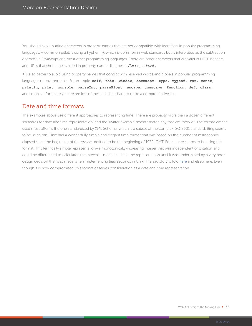You should avoid putting characters in property names that are not compatible with identifiers in popular programming languages. A common pitfall is using a hyphen (-), which is common in web standards but is interpreted as the subtraction operator in JavaScript and most other programming languages. There are other characters that are valid in HTTP headers and URLs that should be avoided in property names, like these: **/\=:;,.?#<>@.**

It is also better to avoid using property names that conflict with reserved words and globals in popular programming languages or environments. For example, **self**, **this**, **window**, **document**, **type**, **typeof**, **var**, **const**, **println**, **print**, **console**, **parseInt**, **parseFloat**, **escape**, **unescape**, **function**, **def**, **class**, and so on. Unfortunately, there are lots of these, and it is hard to make a comprehensive list.

### Date and time formats

The examples above use different approaches to representing time. There are probably more than a dozen different standards for date and time representation, and the Twitter example doesn't match any that we know of. The format we see used most often is the one standardized by XML Schema, which is a subset of the complex ISO 8601 standard. Bing seems to be using this. Unix had a wonderfully simple and elegant time format that was based on the number of milliseconds elapsed since the beginning of the epoch-defined to be the beginning of 1970, GMT. Foursquare seems to be using this format. This terrifically simple representation—a monotonically-increasing integer that was independent of location and could be differenced to calculate time intervals—made an ideal time representation until it was undermined by a very poor design decision that was made when implementing leap seconds in Unix. The sad story is told [here](https://cr.yp.to/proto/utctai.html) and elsewhere. Even though it is now compromised, this format deserves consideration as a date and time representation.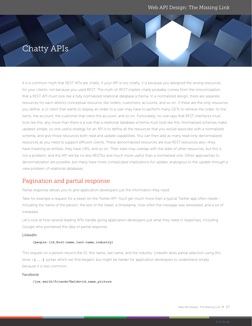## Chatty APIs

It is a common myth that REST APIs are chatty. If your API is too chatty, it is because you designed the wrong resources for your clients, not because you used REST. The myth of REST implies chatty probably comes from the misconception that a REST API must look like a fully normalized relational database schema. In a normalized design, there are separate resources for each distinct conceptual resource, like orders, customers, accounts, and so on. If these are the only resources you define, a UI client that wants to display an order to a user may have to perform many GETs to retrieve the order, its line items, the account, the customer that owns the account, and so on. Fortunately, no rule says that REST interfaces must look like this, any more than there is a rule that a relational database schema must look like this. Normalized schemas make updates simple, so one useful strategy for an API is to define all the resources that you would associate with a normalized schema, and give those resources both read and update capabilities. You can then add as many read-only denormalized resources as you need to support efficient clients. These denormalized resources are true REST resources also—they have meaning as entities, they have URIs, and so on. Their state may overlap with the state of other resources, but this is not a problem, and this API will be no less RESTful and much more useful than a normalized one. Other approaches to denormalization are possible, but many have more complicated implications for update, analogous to the *update through a* view problem of relational databases.

## Pagination and partial response

Partial response allows you to give application developers just the information they need.

Take for example a request for a tweet on the Twitter API. You'll get much more than a typical Twitter app often needs including the name of the person, the text of the tweet, a timestamp, how often the message was retweeted, and a lot of metadata.

Let's look at how several leading APIs handle giving application developers just what they need in responses, including Google who pioneered the idea of partial response.

#### LinkedIn

#### **/people:(id,first-name,last-name,industry)**

This request on a person returns the ID, first name, last name, and the industry. LinkedIn does partial selection using this terse **:(...)** syntax which we find elegant, but might be harder for application developers to understand simply because it is less common.

#### Facebook

**/joe.smith/friends?fields=id,name,picture**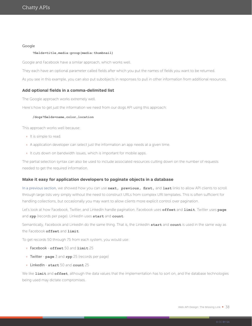#### Google

#### **?fields=title,media:group(media:thumbnail)**

Google and Facebook have a similar approach, which works well.

They each have an optional parameter called fields after which you put the names of fields you want to be returned.

As you see in this example, you can also put subobjects in responses to pull in other information from additional resources.

#### **Add optional fields in a comma-delimited list**

The Google approach works extremely well.

Here's how to get just the information we need from our dogs API using this approach:

#### **/dogs?fields=name,color,location**

This approach works well because:

It is simple to read.

A application developer can select just the information an app needs at a given time.

It cuts down on bandwidth issues, which is important for mobile apps.

The partial selection syntax can also be used to include associated resources cutting down on the number of requests needed to get the required information.

#### **Make it easy for application developers to paginate objects in a database**

[In a previous section](#page-31-0), we showed how you can use **next, previous, first,** and **last** links to allow API clients to scroll through large lists very simply without the need to construct URLs from complex URI templates. This is often sufficient for handling collections, but occasionally you may want to allow clients more explicit control over pagination.

Let's look at how Facebook, Twitter, and LinkedIn handle pagination. Facebook uses **offset** and **limit**. Twitter uses **page** and **rpp** (records per page). LinkedIn uses **start** and **count**.

Semantically, Facebook and LinkedIn do the same thing. That is, the LinkedIn **start** and **count** is used in the same way as the Facebook **offset** and **limit**.

To get records 50 through 75 from each system, you would use:

Facebook - **offset** 50 and **limit** 25

Twitter - **page** 3 and **rpp** 25 (records per page)

LinkedIn - **start** 50 and **count** 25

We like **limit** and **offset**, although the data values that the implementation has to sort on, and the database technologies being used may dictate compromises.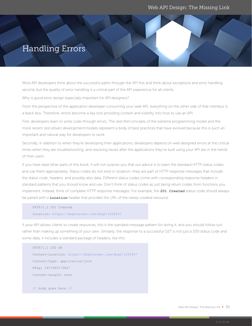## Handling Errors

Most API developers think about the successful paths through the API first and think about exceptions and error handling second, but the quality of error handling is a critical part of the API experience for all clients.

Why is good error design especially important for API designers?

From the perspective of the application developer consuming your web API, everything on the other side of that interface is a black box. Therefore, errors become a key tool providing context and visibility into how to use an API.

First, developers learn to write code through errors. The test-first concepts of the extreme programming model and the more recent test-driven development models represent a body of best practices that have evolved because this is such an important and natural way for developers to work.

Secondly, in addition to when they're developing their applications, developers depend on well-designed errors at the critical times when they are troubleshooting, and resolving issues after the applications they've built using your API are in the hands of their users.

If you have read other parts of this book, it will not surprise you that our advice is to learn the standard HTTP status codes and use them appropriately. Status codes do not exist in isolation—they are part of HTTP response messages that include the status code, headers, and possibly also data. Different status codes come with corresponding response headers in standard patterns that you should know and use. Don't think of status codes as just being return codes from functions you implement. Instead, think of complete HTTP response messages. For example, the **201 Created** status code should always be paired with a **Location** header that provides the URL of the newly-created resource.

```
HTTP/1.1 201 Created
Location: https://dogtracker.com/dogs/1234567
```
If your API allows clients to create resources, this is the standard message pattern for doing it, and you should follow suit rather than making up something of your own. Similarly, the response to a successful GET is not just a 200 status code and some data, it includes a standard package of headers, like this:

```
HTTP/1.1 200 OK
Content-Location: https://dogtracker.com/dogs/1234567
Content-Type: application/json
ETag: 1437080173827
Content-Length: nnnn
// body goes here //
```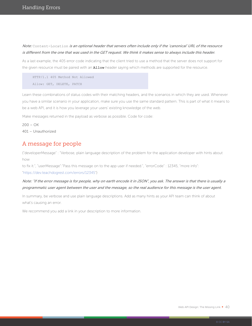### Note: Content-Location is an optional header that servers often include only if the 'canonical' URL of the resource is different from the one that was used in the GET request. We think it makes sense to always include this header.

As a last example, the 405 error code indicating that the client tried to use a method that the server does not support for the given resource must be paired with an **Allow** header saying which methods are supported for the resource.

HTTP/1.1 405 Method Not Allowed Allow: GET, DELETE, PATCH

Learn these combinations of status codes with their matching headers, and the scenarios in which they are used. Whenever you have a similar scenario in your application, make sure you use the same standard pattern. This is part of what it means to be a web API, and it is how you leverage your users' existing knowledge of the web.

Make messages returned in the payload as verbose as possible. Code for code:

 $200 - OK$ 401 – Unauthorized

### A message for people

{"developerMessage" : "Verbose, plain language description of the problem for the application developer with hints about how

to fix it.", "userMessage":"Pass this message on to the app user if needed.", "errorCode" : 12345, "more info":

"https://dev.teachdogrest.com/errors/12345"}

### Note: "If the error message is for people, why on earth encode it in JSON", you ask. The answer is that there is usually a programmatic user agent between the user and the message, so the real audience for this message is the user agent.

In summary, be verbose and use plain language descriptions. Add as many hints as your API team can think of about what's causing an error.

We recommend you add a link in your description to more information.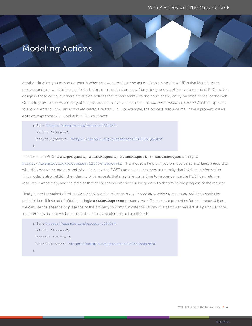## Modeling Actions

Another situation you may encounter is when you want to trigger an action. Let's say you have URLs that identify some process, and you want to be able to start, stop, or pause that process. Many designers resort to a verb-oriented, RPC-like API design in these cases, but there are design options that remain faithful to the noun-based, entity-oriented model of the web. One is to provide a state property of the process and allow clients to set it to started, stopped, or paused. Another option is to allow clients to POST an *action request* to a related URL. For example, the process resource may have a property called **actionRequests** whose value is a URL, as shown:

```
{"id":"https://example.org/process/123456",
 "kind": "Process",
 "actionRequests": "https://example.org/processes/123456/requests"
}
```
The client can POST a **StopRequest, StartRequest, PauseRequest**, or **ResumeRequest** entity to https://example.org/processes/123456/requests. This model is helpful if you want to be able to keep a record of who did what to the process and when, because the POST can create a real persistent entity that holds that information. This model is also helpful when dealing with requests that may take some time to happen, since the POST can return a resource immediately, and the state of that entity can be examined subsequently to determine the progress of the request.

Finally, there is a variant of this design that allows the client to know immediately which requests are valid at a particular point in time. If instead of offering a single **actionRequests** property, we offer separate properties for each request type, we can use the absence or presence of the property to communicate the validity of a particular request at a particular time. If the process has not yet been started, its representation might look like this:

```
{"id":"https://example.org/process/123456",
 "kind": "Process",
 "state": "initial",
 "startRequests": "https://example.org/process/123456/requests"
}
```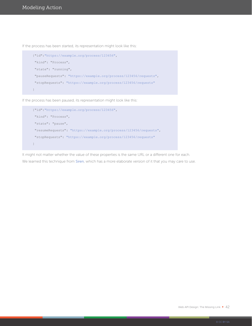If the process has been started, its representation might look like this:

```
{"id":"https://example.org/process/123456",
 "kind": "Process",
 "state": "running",
 "pauseRequests": "https://example.org/process/123456/requests",
 "stopRequests": "https://example.org/process/123456/requests"
}
```
If the process has been paused, its representation might look like this:

```
{"id":"https://example.org/process/123456",
 "kind": "Process",
 "state": "pause",
  "resumeRequests": "https://example.org/process/123456/requests",
  "stopRequests": "https://example.org/process/123456/requests"
}
```
It might not matter whether the value of these properties is the same URL or a different one for each. We learned this technique from [Siren](https://github.com/kevinswiber/siren), which has a more elaborate version of it that you may care to use.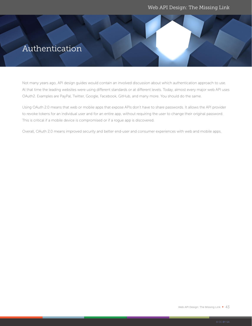## Authentication

Not many years ago, API design guides would contain an involved discussion about which authentication approach to use. At that time the leading websites were using different standards or at different levels. Today, almost every major web API uses OAuth2. Examples are PayPal, Twitter, Google, Facebook, GitHub, and many more. You should do the same.

Using OAuth 2.0 means that web or mobile apps that expose APIs don't have to share passwords. It allows the API provider to revoke tokens for an individual user and for an entire app, without requiring the user to change their original password. This is critical if a mobile device is compromised or if a rogue app is discovered.

Overall, OAuth 2.0 means improved security and better end-user and consumer experiences with web and mobile apps.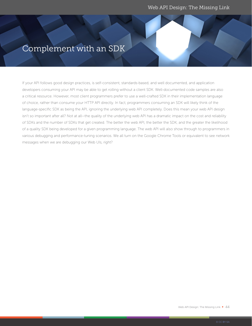## Complement with an SDK

If your API follows good design practices, is self-consistent, standards-based, and well documented, and application developers consuming your API may be able to get rolling without a client SDK. Well-documented code samples are also a critical resource. However, most client programmers prefer to use a well-crafted SDK in their implementation language of choice, rather than consume your HTTP API directly. In fact, programmers consuming an SDK will likely think of the language-specific SDK as being the API, ignoring the underlying web API completely. Does this mean your web API design isn't so important after all? Not at all—the quality of the underlying web API has a dramatic impact on the cost and reliability of SDKs and the number of SDKs that get created. The better the web API, the better the SDK, and the greater the likelihood of a quality SDK being developed for a given programming language. The web API will also show through to programmers in various debugging and performance-tuning scenarios. We all turn on the Google Chrome Tools or equivalent to see network messages when we are debugging our Web UIs, right?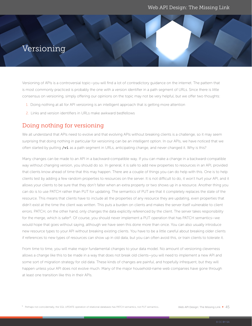## <span id="page-44-0"></span>Versioning

Versioning of APIs is a controversial topic—you will find a lot of contradictory guidance on the internet. The pattern that is most commonly practiced is probably the one with a version identifier in a path segment of URLs. Since there is little consensus on versioning, simply offering our opinions on the topic may not be very helpful, but we offer two thoughts:

- 1. Doing nothing at all for API versioning is an intelligent approach that is getting more attention
- 2. Links and version identifiers in URLs make awkward bedfellows

## Doing nothing for versioning

We all understand that APIs need to evolve and that evolving APIs without breaking clients is a challenge, so it may seem surprising that doing nothing in particular for versioning can be an intelligent option. In our APIs, we have noticed that we often started by putting **/v1** as a path segment in URLs, anticipating change, and never changed it. Why is this?

Many changes can be made to an API in a backward-compatible way. If you can make a change in a backward-compatible way without changing version, you should do so. In general, it is safe to add new properties to resources in an API, provided that clients know ahead of time that this may happen. There are a couple of things you can do help with this. One is to help clients test by adding a few random properties to resources on the server. It is not difficult to do, it won't hurt your API, and it allows your clients to be sure that they don't falter when an extra property or two shows up in a resource. Another thing you can do is to use PATCH rather than PUT for updating. The semantics of PUT are that it completely replaces the state of the resource. This means that clients have to include all the properties of any resource they are updating, even properties that didn't exist at the time the client was written. This puts a burden on clients and makes the server itself vulnerable to client errors. PATCH, on the other hand, only changes the data explicitly referenced by the client. The server takes responsibility for the merge, which is safer<sup>9</sup>. Of course, you should never implement a PUT operation that has PATCH semantics—we would hope that goes without saying, although we have seen this done more than once. You can also usually introduce new resource types to your API without breaking existing clients. You have to be a little careful about breaking older clients if references to new types of resources can show up in old data, but you can often avoid this, or train clients to tolerate it.

From time to time, you will make major fundamental changes to your data model. No amount of versioning cleverness allows a change like this to be made in a way that does not break old clients—you will need to implement a new API and some sort of migration strategy for old data. These kinds of changes are painful, and hopefully infrequent, but they will happen unless your API does not evolve much. Many of the major household-name web companies have gone through at least one transition like this in their APIs.

9 Perhaps not coincidentally, the SQL UPDATE operation of relational databases has PATCH semantics, not PUT semantics.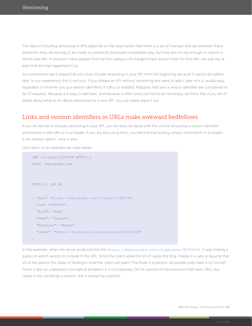The idea of including versioning in APIs depends on the assumption that there is a set of changes that are between these extremes—they are too big to be made in a perfectly backward-compatible way, but they are not big enough to require a whole new API. In practice, many people find that this category of change simply doesn't exist for their API—we can say at least that this has happened to us.

You sometimes see it stated that you must include versioning in your API from the beginning because it cannot be added later. In our experience, this is not true. If you release an API without versioning and want to add it later, this is usually easy, regardless of whether you put version identifiers in URLs or headers. Requests that lack a version identifier are considered to be V1 requests. Because it is easy to add later, and because it often turns out not to be necessary, we think that if you are in doubt about what to do about versioning for a new API, you can safely leave it out.

### Links and version identifiers in URLs make awkward bedfellows

If you do decide to include versioning in your API, you are likely be faced with the choice of putting a version identifier somewhere in the URL or in a header. If you are also using links, you will find that putting version information in a header is the simpler option. Here is why.

Let's return to an example we used earlier:

```
GET /v2/dogs/12345678 HTTP/1.1
Host: dogtracker.com
…
HTTP/1.1 200 OK 
{ "sel": "https://dogtracker.com/v2/dogs/12345678", 
   "id": "1234567",
   "kind": "Dog"
   "name": "Lassie", 
   "furColor": "brown",
   "owner": "https://dogtracker.com/v2/persons/98765432"
}
```
In this example, when the server produced the link https://dogtracker.com/v2/persons/98765432, it was making a guess on which version to include in the URL. Since the client asked for V2 of Lassie the Dog, maybe it is safe to assume that V2 of the person the Duke of Rudling is what the client will want? The Duke is a person—do people even have a V2 format? There is also an unpleasant conceptual problem—it is conceptually OK for versions to be resources that have URLs, but Lassie is not owned by a version, she is owned by a person.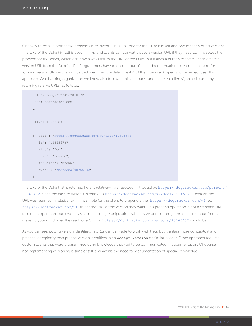One way to resolve both these problems is to invent 1+n URLs—one for the Duke himself and one for each of his versions. The URL of the Duke himself is used in links, and clients can convert that to a version URL if they need to. This solves the problem for the server, which can now always return the URL of the Duke, but it adds a burden to the client to create a version URL from the Duke's URL. Programmers have to consult out-of-band documentation to learn the pattern for forming version URLs—it cannot be deduced from the data. The API of the OpenStack open source project uses this approach. One banking organization we know also followed this approach, and made the clients' job a bit easier by returning relative URLs, as follows:

```
GET /v2/dogs/12345678 HTTP/1.1
Host: dogtracker.com
…
HTTP/1.1 200 OK 
{ "self": "https://dogtracker.com/v2/dogs/12345678", 
   "id": "12345678",
   "kind": "Dog"
   "name": "Lassie", 
   "furColor": "brown",
   "owner": "/persons/98765432"
}
```
The URL of the Duke that is returned here is relative-if we resolved it, it would be https://dogtracker.com/persons/ 98765432, since the base to which it is relative is https://dogtracker.com/v2/dogs/12345678. Because the URL was returned in relative form, it is simple for the client to prepend either https://dogtracker.com/v2 or https://dogtracker.com/v1 to get the URL of the version they want. This prepend operation is not a standard URL resolution operation, but it works as a simple string manipulation, which is what most programmers care about. You can make up your mind what the result of a GET on https://dogtracker.com/persons/98765432 should be.

As you can see, putting version identifiers in URLs can be made to work with links, but it entails more conceptual and practical complexity than putting version identifiers in an **Accept-Version** or similar header. Either approach requires custom clients that were programmed using knowledge that had to be communicated in documentation. Of course, not implementing versioning is simpler still, and avoids the need for documentation of special knowledge.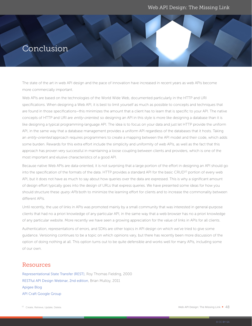## Conclusion

The state of the art in web API design and the pace of innovation have increased in recent years as web APIs become more commercially important.

Web APIs are based on the technologies of the World Wide Web, documented particularly in the HTTP and URI specifications. When designing a Web API, it is best to limit yourself as much as possible to concepts and techniques that are found in those specifications—this minimizes the amount that a client has to learn that is specific to your API. The native concepts of HTTP and URI are entity-oriented, so designing an API in this style is more like designing a database than it is like designing a typical programming-language API. The idea is to focus on your data and just let HTTP provide the uniform API, in the same way that a database management provides a uniform API regardless of the databases that it hosts. Taking an entity-oriented approach requires programmers to create a mapping between the API model and their code, which adds some burden. Rewards for this extra effort include the simplicity and uniformity of web APIs, as well as the fact that this approach has proven very successful in maintaining a loose coupling between clients and providers, which is one of the most important and elusive characteristics of a good API.

Because native Web APIs are data-oriented, it is not surprising that a large portion of the effort in designing an API should go into the specification of the formats of the data. HTTP provides a standard API for the basic CRUD<sup>10</sup> portion of every web API, but it does not have as much to say about how queries over the data are expressed. This is why a significant amount of design effort typically goes into the design of URLs that express queries. We have presented some ideas for how you should structure these query APIs both to minimize the learning effort for clients and to increase the commonality between different APIs.

Until recently, the use of links in APIs was promoted mainly by a small community that was interested in general-purpose clients that had no a priori knowledge of any particular API, in the same way that a web browser has no a priori knowledge of any particular website. More recently we have seen a growing appreciation for the value of links in APIs for all clients.

Authentication, representations of errors, and SDKs are other topics in API design on which we've tried to give some guidance. Versioning continues to be a topic on which opinions vary, but there has recently been more discussion of the option of doing nothing at all. This option turns out to be quite defensible and works well for many APIs, including some of our own.

### Resources

[Representational State Transfer \(REST\)](http://www.ics.uci.edu/%7Efielding/pubs/dissertation/rest_arch_style.htm), Roy Thomas Fielding, 2000 [RESTful API Design Webinar, 2nd edition](https://apigee.com/about/blog/technology/restful-api-design-second-edition-webinar-video-slides), Brian Mulloy, 2011 [Apigee Blog](https://apigee.com/about/blog/) [API Craft Google Group](https://groups.google.com/forum/#!forum/api-craft)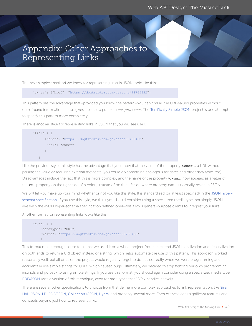## <span id="page-48-0"></span>Appendix: Other Approaches to Representing Links

The next-simplest method we know for representing links in JSON looks like this:

"owner": {"href": "https://dogtracker.com/persons/98765432"}

This pattern has the advantage that—provided you know the pattern—you can find all the URL-valued properties without out-of-band information. It also gives a place to put extra *link properties*. The Terrifically Simple JSON project is one attempt to specify this pattern more completely.

There is another style for representing links in JSON that you will see used.

```
"links": [
          {"href": "https://dogtracker.com/persons/98765432",
            "rel": "owner"
\left\{\begin{array}{cc} 1 & 0 \\ 0 & 0 \end{array}\right\} ]
```
Like the previous style, this style has the advantage that you know that the value of the property **owner** is a URL without parsing the value or requiring external metadata (you could do something analogous for dates and other data types too). Disadvantages include the fact that this is more complex, and the name of the property (**owner**) now appears as a value of the **rel** property on the right side of a colon, instead of on the left side where property names normally reside in JSON.

We will let you make up your mind whether or not you like this style. It is standardized (or at least specified) in the [JSON hyper](http://json-schema.org/latest/json-schema-hypermedia.html)[schema specification](http://json-schema.org/latest/json-schema-hypermedia.html). If you use this style, we think you should consider using a specialized media type, not simply JSON (we wish the JSON hyper-schema specification defined one)—this allows general-purpose clients to interpret your links.

Another format for representing links looks like this:

```
"owner": {
     "dataType": "URI",
     "value": "https://dogtracker.com/persons/98765432"
\qquad \qquad \}
```
This format made enough sense to us that we used it on a whole project. You can extend JSON serialization and deserialization on both ends to return a URI object instead of a string, which helps automate the use of this pattern. This approach worked reasonably well, but all of us on the project would regularly forget to do this correctly when we were programming and accidentally use simple strings for URLs, which caused bugs. Ultimately, we decided to stop fighting our own programming instincts and go back to using simple strings. If you use this format, you should again consider using a specialized media type. [RDF/JSON](https://dvcs.w3.org/hg/rdf/raw-file/default/rdf-json/index.html) uses a version of this technique, even for base types that JSON handles natively.

There are several other specifications to choose from that define more complex approaches to link representation, like [Siren](https://github.com/kevinswiber/siren), [HAL](http://stateless.co/hal_specification.html), [JSON-LD](http://json-ld.org/), [RDF/JSON,](https://dvcs.w3.org/hg/rdf/raw-file/default/rdf-json/index.html) [Collection+JSON,](http://amundsen.com/media-types/collection/) [Hydra](http://www.markus-lanthaler.com/hydra/), and probably several more. Each of these adds significant features and concepts beyond just how to represent links.